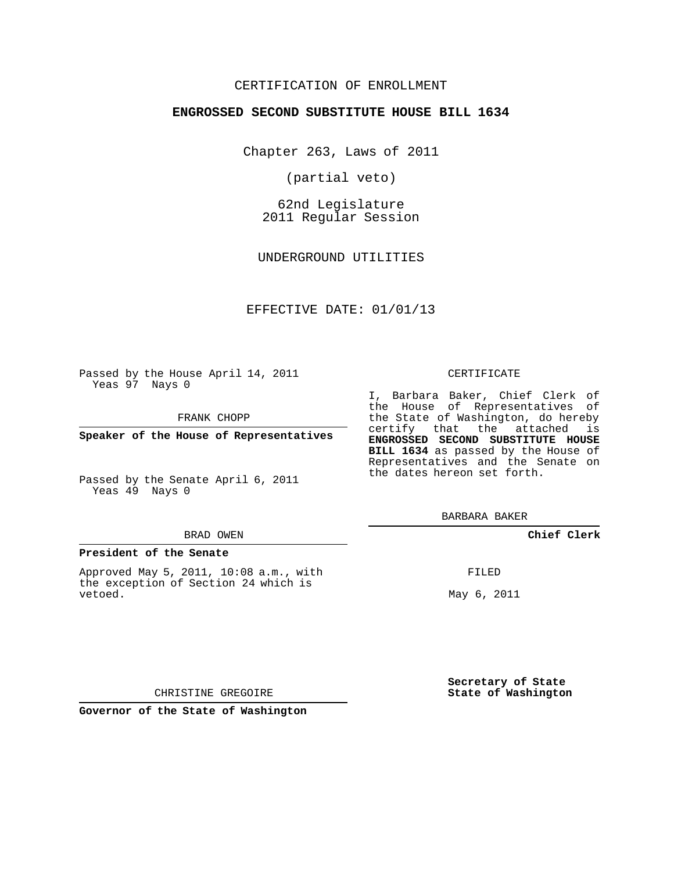# CERTIFICATION OF ENROLLMENT

### **ENGROSSED SECOND SUBSTITUTE HOUSE BILL 1634**

Chapter 263, Laws of 2011

(partial veto)

62nd Legislature 2011 Regular Session

UNDERGROUND UTILITIES

## EFFECTIVE DATE: 01/01/13

Passed by the House April 14, 2011 Yeas 97 Nays 0

FRANK CHOPP

Yeas 49 Nays 0

#### BRAD OWEN

#### **President of the Senate**

Approved May 5, 2011, 10:08 a.m., with the exception of Section 24 which is vetoed.

#### CERTIFICATE

I, Barbara Baker, Chief Clerk of the House of Representatives of the State of Washington, do hereby certify that the attached is **ENGROSSED SECOND SUBSTITUTE HOUSE BILL 1634** as passed by the House of Representatives and the Senate on the dates hereon set forth.

BARBARA BAKER

## **Chief Clerk**

FILED

May 6, 2011

**Secretary of State State of Washington**

CHRISTINE GREGOIRE

**Governor of the State of Washington**

**Speaker of the House of Representatives**

Passed by the Senate April 6, 2011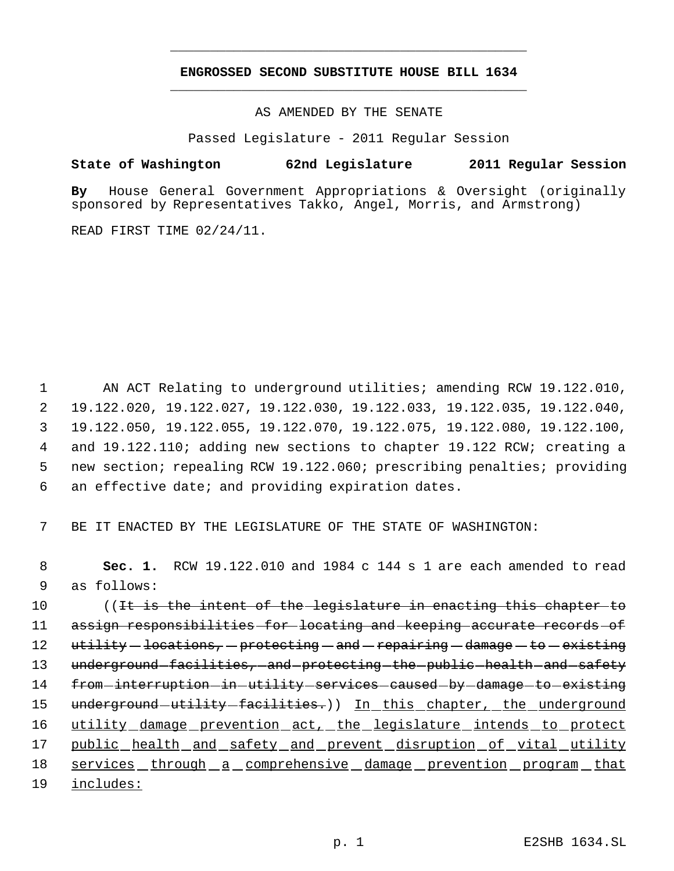# **ENGROSSED SECOND SUBSTITUTE HOUSE BILL 1634** \_\_\_\_\_\_\_\_\_\_\_\_\_\_\_\_\_\_\_\_\_\_\_\_\_\_\_\_\_\_\_\_\_\_\_\_\_\_\_\_\_\_\_\_\_

\_\_\_\_\_\_\_\_\_\_\_\_\_\_\_\_\_\_\_\_\_\_\_\_\_\_\_\_\_\_\_\_\_\_\_\_\_\_\_\_\_\_\_\_\_

AS AMENDED BY THE SENATE

Passed Legislature - 2011 Regular Session

# **State of Washington 62nd Legislature 2011 Regular Session**

**By** House General Government Appropriations & Oversight (originally sponsored by Representatives Takko, Angel, Morris, and Armstrong)

READ FIRST TIME 02/24/11.

 AN ACT Relating to underground utilities; amending RCW 19.122.010, 19.122.020, 19.122.027, 19.122.030, 19.122.033, 19.122.035, 19.122.040, 19.122.050, 19.122.055, 19.122.070, 19.122.075, 19.122.080, 19.122.100, and 19.122.110; adding new sections to chapter 19.122 RCW; creating a new section; repealing RCW 19.122.060; prescribing penalties; providing an effective date; and providing expiration dates.

7 BE IT ENACTED BY THE LEGISLATURE OF THE STATE OF WASHINGTON:

 8 **Sec. 1.** RCW 19.122.010 and 1984 c 144 s 1 are each amended to read 9 as follows:

10 ((It is the intent of the legislature in enacting this chapter to 11 assign responsibilities for locating and keeping accurate records of 12 utility — locations, — protecting — and — repairing — damage — to — existing 13 underground facilities, and protecting the public health and safety 14 from interruption in utility services caused by damage to existing 15 underground utility facilities.)) In this chapter, the underground 16 utility damage prevention act, the legislature intends to protect 17 public health and safety and prevent disruption of vital utility 18 services through a comprehensive damage prevention program that 19 includes: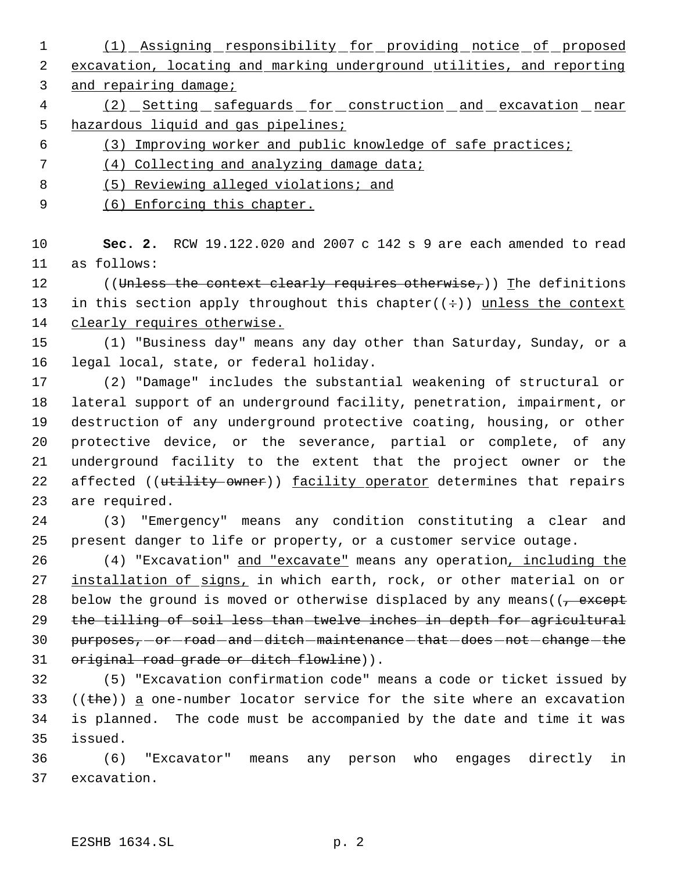(1) Assigning responsibility for providing notice of proposed excavation, locating and marking underground utilities, and reporting

and repairing damage;

- 4 (2) Setting safeguards for construction and excavation near hazardous liquid and gas pipelines;
- (3) Improving worker and public knowledge of safe practices;
- (4) Collecting and analyzing damage data;
- (5) Reviewing alleged violations; and
- 9 (6) Enforcing this chapter.

 **Sec. 2.** RCW 19.122.020 and 2007 c 142 s 9 are each amended to read as follows:

12 ((Unless the context clearly requires otherwise,)) The definitions 13 in this section apply throughout this chapter( $(+)$ ) unless the context 14 clearly requires otherwise.

 (1) "Business day" means any day other than Saturday, Sunday, or a legal local, state, or federal holiday.

 (2) "Damage" includes the substantial weakening of structural or lateral support of an underground facility, penetration, impairment, or destruction of any underground protective coating, housing, or other protective device, or the severance, partial or complete, of any underground facility to the extent that the project owner or the 22 affected ((utility owner)) facility operator determines that repairs are required.

 (3) "Emergency" means any condition constituting a clear and present danger to life or property, or a customer service outage.

 (4) "Excavation" and "excavate" means any operation, including the 27 installation of signs, in which earth, rock, or other material on or 28 below the ground is moved or otherwise displaced by any means  $(1, -$ except the tilling of soil less than twelve inches in depth for agricultural 30 purposes, or -road - and -ditch - maintenance - that -does - not - change - the 31 original road grade or ditch flowline)).

 (5) "Excavation confirmation code" means a code or ticket issued by  $((the) )$  a one-number locator service for the site where an excavation is planned. The code must be accompanied by the date and time it was issued.

 (6) "Excavator" means any person who engages directly in excavation.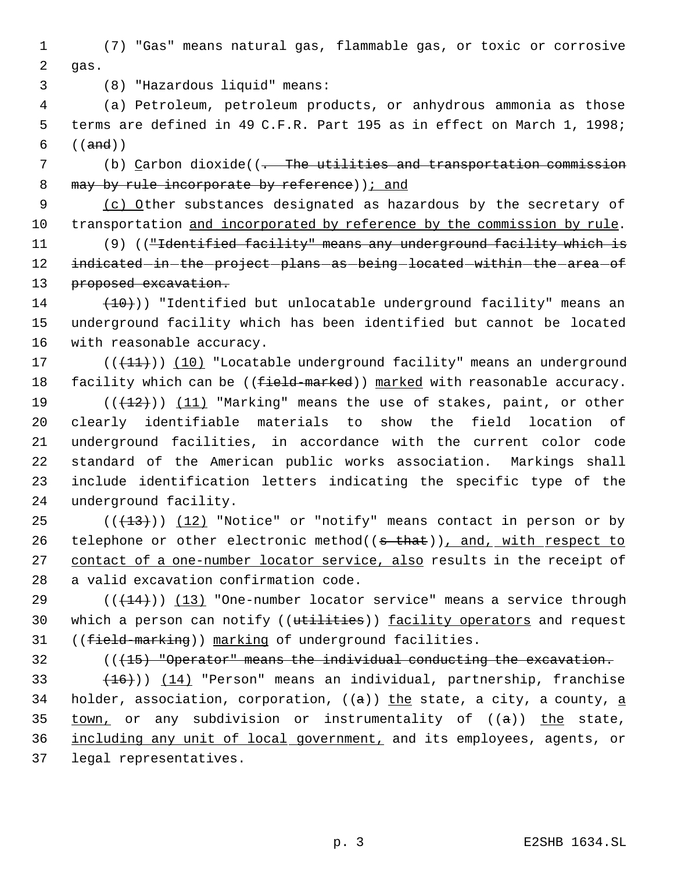1 (7) "Gas" means natural gas, flammable gas, or toxic or corrosive 2 gas.

3 (8) "Hazardous liquid" means:

 4 (a) Petroleum, petroleum products, or anhydrous ammonia as those 5 terms are defined in 49 C.F.R. Part 195 as in effect on March 1, 1998;  $6 ((and))$ 

7 (b) Carbon dioxide((<del>. The utilities and transportation commission</del> 8 may by rule incorporate by reference)  $\frac{1}{1}$  and

9 (c) Other substances designated as hazardous by the secretary of 10 transportation and incorporated by reference by the commission by rule.

11 (9) (("Identified facility" means any underground facility which is 12 indicated in the project plans as being located within the area of 13 proposed excavation.

 $14$   $(10)$ ) "Identified but unlocatable underground facility" means an 15 underground facility which has been identified but cannot be located 16 with reasonable accuracy.

17 (((11))) (10) "Locatable underground facility" means an underground 18 facility which can be  $((f<sub>ic</sub>Id<sub>maxked</sub>))$  marked with reasonable accuracy.

 $((+12))$   $(11)$  "Marking" means the use of stakes, paint, or other clearly identifiable materials to show the field location of underground facilities, in accordance with the current color code standard of the American public works association. Markings shall include identification letters indicating the specific type of the underground facility.

25  $((+13))$   $(12)$  "Notice" or "notify" means contact in person or by 26 telephone or other electronic method((s that)), and, with respect to 27 contact of a one-number locator service, also results in the receipt of 28 a valid excavation confirmation code.

29 ( $(\overline{+14})$ ) (13) "One-number locator service" means a service through 30 which a person can notify ((utilities)) facility operators and request 31 ((field-marking)) marking of underground facilities.

32 (((15) "Operator" means the individual conducting the excavation.

 $(16)$ ) (14) "Person" means an individual, partnership, franchise 34 holder, association, corporation,  $((a))$  the state, a city, a county, a  $town_t$  or any subdivision or instrumentality of  $((a))$  the state, including any unit of local government, and its employees, agents, or legal representatives.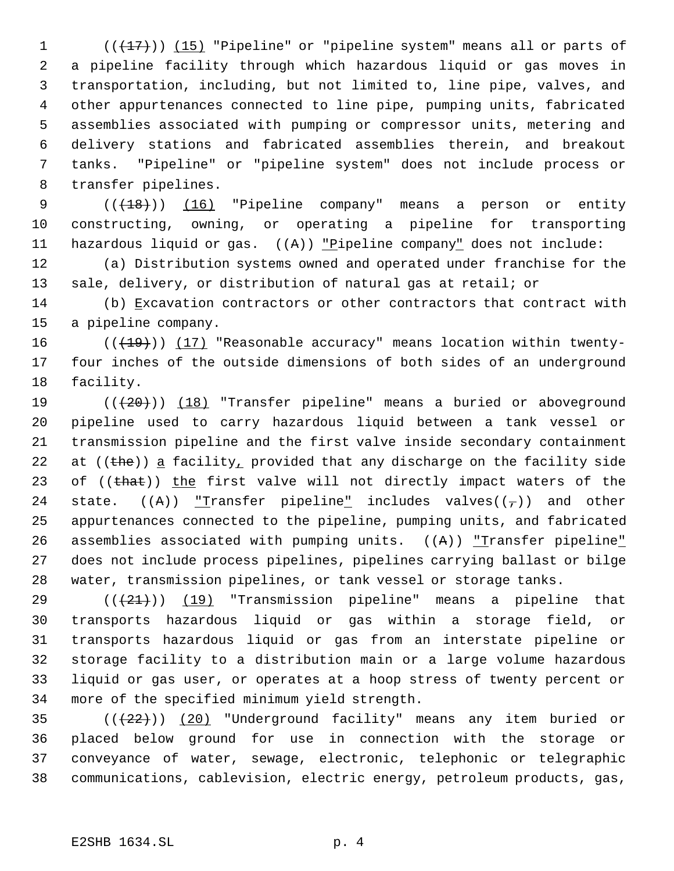$((+17))$   $(15)$  "Pipeline" or "pipeline system" means all or parts of a pipeline facility through which hazardous liquid or gas moves in transportation, including, but not limited to, line pipe, valves, and other appurtenances connected to line pipe, pumping units, fabricated assemblies associated with pumping or compressor units, metering and delivery stations and fabricated assemblies therein, and breakout tanks. "Pipeline" or "pipeline system" does not include process or transfer pipelines.

9 (( $\left(\frac{18}{18}\right)$ ) (16) "Pipeline company" means a person or entity constructing, owning, or operating a pipeline for transporting 11 hazardous liquid or gas. ((A)) "Pipeline company" does not include:

 (a) Distribution systems owned and operated under franchise for the sale, delivery, or distribution of natural gas at retail; or

 (b) Excavation contractors or other contractors that contract with a pipeline company.

 $((+19))$   $(17)$  "Reasonable accuracy" means location within twenty- four inches of the outside dimensions of both sides of an underground facility.

19  $((+20))$   $(18)$  "Transfer pipeline" means a buried or aboveground pipeline used to carry hazardous liquid between a tank vessel or transmission pipeline and the first valve inside secondary containment 22 at ((the)) a facility, provided that any discharge on the facility side 23 of ((that)) the first valve will not directly impact waters of the 24 state.  $((A))$  <u>"Transfer pipeline"</u> includes valves( $(\tau)$ ) and other appurtenances connected to the pipeline, pumping units, and fabricated 26 assemblies associated with pumping units.  $((A))$  *Transfer pipeline*  does not include process pipelines, pipelines carrying ballast or bilge water, transmission pipelines, or tank vessel or storage tanks.

 $((+21))$   $(19)$  "Transmission pipeline" means a pipeline that transports hazardous liquid or gas within a storage field, or transports hazardous liquid or gas from an interstate pipeline or storage facility to a distribution main or a large volume hazardous liquid or gas user, or operates at a hoop stress of twenty percent or more of the specified minimum yield strength.

 $((+22))$   $(20)$  "Underground facility" means any item buried or placed below ground for use in connection with the storage or conveyance of water, sewage, electronic, telephonic or telegraphic communications, cablevision, electric energy, petroleum products, gas,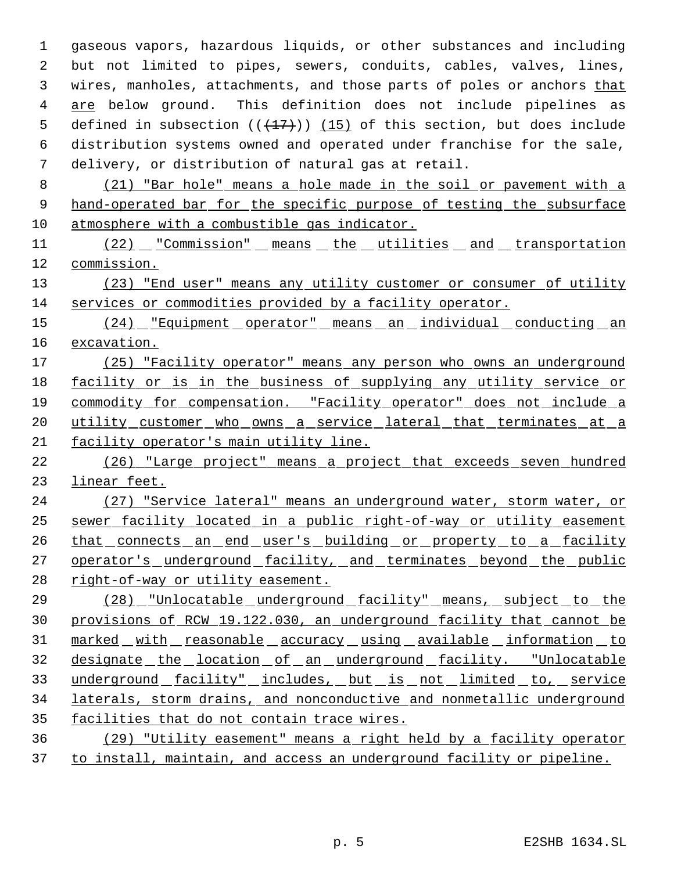gaseous vapors, hazardous liquids, or other substances and including but not limited to pipes, sewers, conduits, cables, valves, lines, wires, manholes, attachments, and those parts of poles or anchors that are below ground. This definition does not include pipelines as 5 defined in subsection  $((+17))$   $(15)$  of this section, but does include distribution systems owned and operated under franchise for the sale, delivery, or distribution of natural gas at retail.

 8 (21) "Bar hole" means a hole made in the soil or pavement with a 9 hand-operated bar for the specific purpose of testing the subsurface 10 atmosphere with a combustible gas indicator.

11 (22) "Commission" means the utilities and transportation 12 commission.

13 (23) "End user" means any utility customer or consumer of utility 14 services or commodities provided by a facility operator.

15 (24) Figuipment operator" means an individual conducting an 16 excavation.

17 (25) "Facility operator" means any person who owns an underground 18 facility or is in the business of supplying any utility service or 19 commodity for compensation. "Facility operator" does not include a 20 utility customer who owns a service lateral that terminates at a 21 facility operator's main utility line.

22 (26) "Large project" means a project that exceeds seven hundred 23 linear feet.

24 (27) "Service lateral" means an underground water, storm water, or 25 sewer facility located in a public right-of-way or utility easement 26 that connects an end user's building or property to a facility 27 operator's underground facility, and terminates beyond the public 28 right-of-way or utility easement.

29 (28) "Unlocatable underground facility" means, subject to the 30 provisions of RCW 19.122.030, an underground facility that cannot be 31 marked with reasonable accuracy using available information to 32 designate the location of an underground facility. "Unlocatable 33 underground facility" includes, but is not limited to, service 34 laterals, storm drains, and nonconductive and nonmetallic underground 35 facilities that do not contain trace wires.

36 (29) "Utility easement" means a right held by a facility operator 37 to install, maintain, and access an underground facility or pipeline.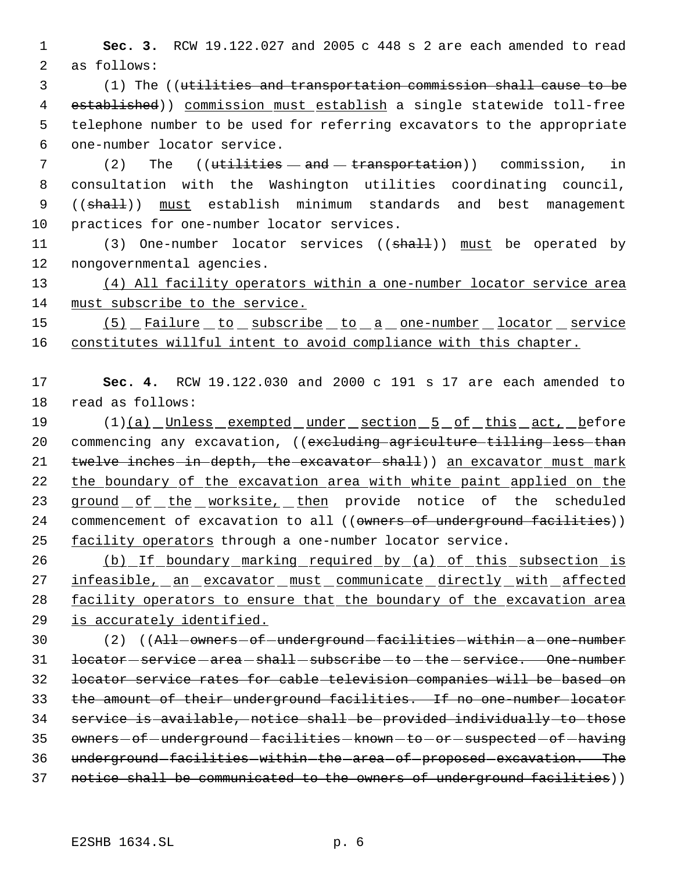1 **Sec. 3.** RCW 19.122.027 and 2005 c 448 s 2 are each amended to read 2 as follows:

 (1) The ((utilities and transportation commission shall cause to be 4 established)) commission must establish a single statewide toll-free telephone number to be used for referring excavators to the appropriate one-number locator service.

 (2) The ((utilities  $-$  and  $-$  transportation)) commission, in consultation with the Washington utilities coordinating council, 9 ((shall)) must establish minimum standards and best management practices for one-number locator services.

11 (3) One-number locator services ((shall)) must be operated by 12 nongovernmental agencies.

13 (4) All facility operators within a one-number locator service area 14 must subscribe to the service.

15 (5) Failure to subscribe to a one-number locator service 16 constitutes willful intent to avoid compliance with this chapter.

17 **Sec. 4.** RCW 19.122.030 and 2000 c 191 s 17 are each amended to 18 read as follows:

19 (1)(a) Unless exempted under section 5 of this act, before 20 commencing any excavation, ((excluding agriculture tilling less than 21 twelve inches in depth, the excavator shall)) an excavator must mark 22 the boundary of the excavation area with white paint applied on the 23 ground of the worksite, then provide notice of the scheduled 24 commencement of excavation to all ((owners of underground facilities)) 25 facility operators through a one-number locator service.

26 (b) If boundary marking required by (a) of this subsection is 27 infeasible, an excavator must communicate directly with affected 28 facility operators to ensure that the boundary of the excavation area 29 is accurately identified.

30 (2) ((All owners - of -underground -facilities - within - a - one-number 31 <del>locator service area shall subscribe to the service. One number</del> 32 locator service rates for cable television companies will be based on 33 the amount of their underground facilities. If no one number locator 34 service is available, notice shall be provided individually to those 35 owners - of - underground - facilities - known - to - or - suspected - of - having 36 underground-facilities-within-the-area-of-proposed-excavation. The 37 notice shall be communicated to the owners of underground facilities))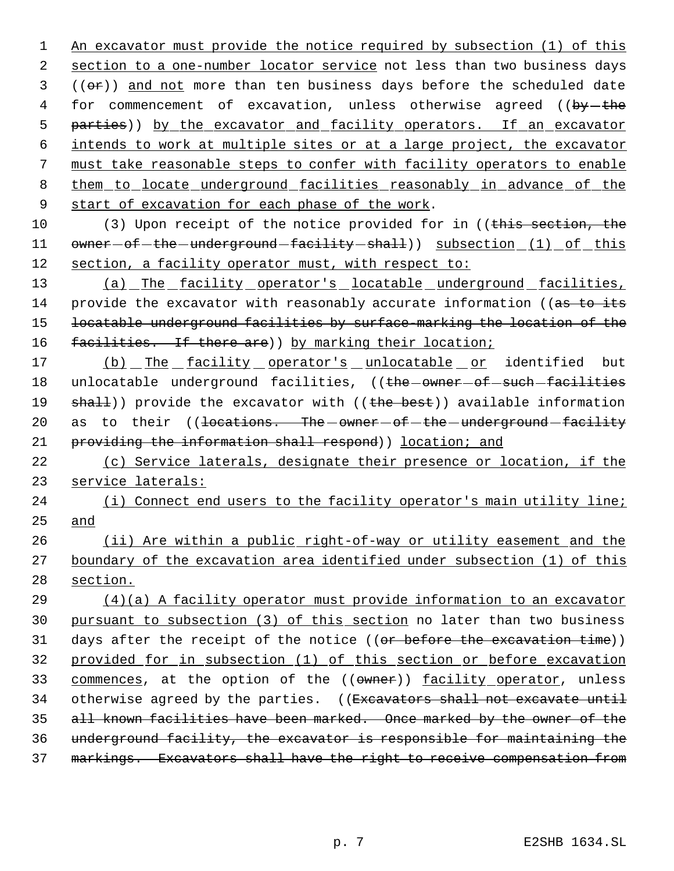1 An excavator must provide the notice required by subsection (1) of this 2 section to a one-number locator service not less than two business days  $3$  (( $\Theta$ r)) and not more than ten business days before the scheduled date 4 for commencement of excavation, unless otherwise agreed ((by-the 5 parties)) by the excavator and facility operators. If an excavator 6 intends to work at multiple sites or at a large project, the excavator 7 must take reasonable steps to confer with facility operators to enable 8 them to locate underground facilities reasonably in advance of the 9 start of excavation for each phase of the work.

10 (3) Upon receipt of the notice provided for in ((this section, the 11 owner-of-the-underground-facility-shall)) subsection (1) of this 12 section, a facility operator must, with respect to:

13 (a) The facility operator's locatable underground facilities, 14 provide the excavator with reasonably accurate information ((as to its 15 locatable underground facilities by surface-marking the location of the 16 facilities. If there are) by marking their location;

17 (b) The facility operator's unlocatable or identified but 18 unlocatable underground facilities, ((the -owner -of -such -facilities 19 shall)) provide the excavator with ((the best)) available information 20 as to their ((locations. The -owner - of - the - underground - facility 21 providing the information shall respond) location; and

22 (c) Service laterals, designate their presence or location, if the 23 service laterals:

24 (i) Connect end users to the facility operator's main utility line; 25 and

26 (ii) Are within a public right-of-way or utility easement and the 27 boundary of the excavation area identified under subsection (1) of this 28 section.

 (4)(a) A facility operator must provide information to an excavator pursuant to subsection (3) of this section no later than two business 31 days after the receipt of the notice ((or before the excavation time)) provided for in subsection (1) of this section or before excavation 33 commences, at the option of the ((owner)) facility operator, unless 34 otherwise agreed by the parties. ((Excavators shall not excavate until all known facilities have been marked. Once marked by the owner of the underground facility, the excavator is responsible for maintaining the markings. Excavators shall have the right to receive compensation from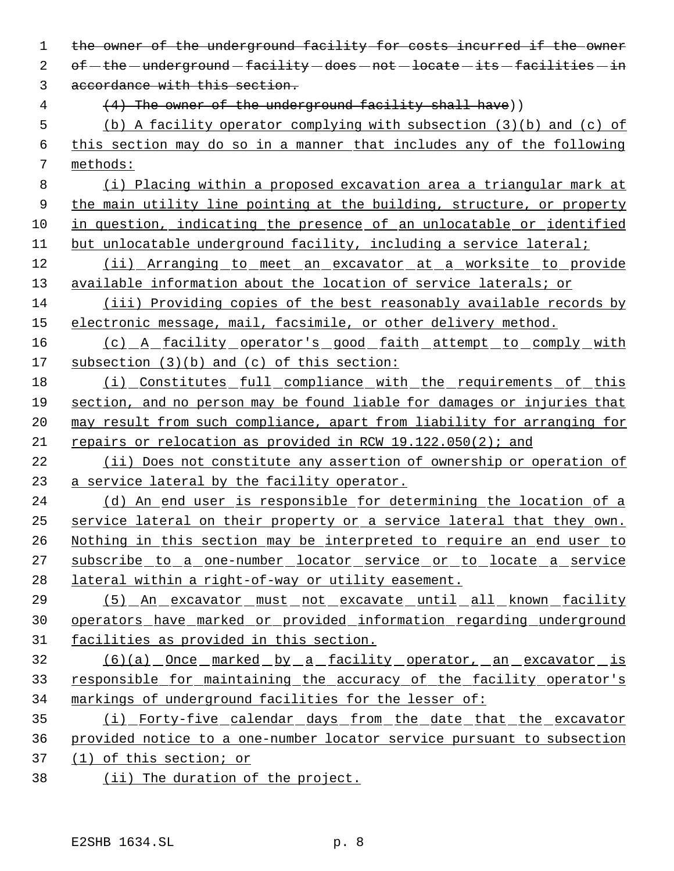| 1  | the owner of the underground facility for costs incurred if the owner    |
|----|--------------------------------------------------------------------------|
| 2  | $of$ -the -underground -facility -does -not -locate -its -facilities -in |
| 3  | accordance with this section.                                            |
| 4  | (4) The owner of the underground facility shall have))                   |
| 5  | (b) A facility operator complying with subsection (3)(b) and (c) of      |
| 6  | this section may do so in a manner that includes any of the following    |
| 7  | methods:                                                                 |
| 8  | (i) Placing within a proposed excavation area a triangular mark at       |
| 9  | the main utility line pointing at the building, structure, or property   |
| 10 | in question, indicating the presence of an unlocatable or identified     |
| 11 | but unlocatable underground facility, including a service lateral;       |
| 12 | (ii) Arranging to meet an excavator at a worksite to provide             |
| 13 | available information about the location of service laterals; or         |
| 14 | (iii) Providing copies of the best reasonably available records by       |
| 15 | electronic message, mail, facsimile, or other delivery method.           |
| 16 | (c) A facility operator's good faith attempt to comply with              |
| 17 | subsection $(3)(b)$ and $(c)$ of this section:                           |
| 18 | (i) Constitutes full compliance with the requirements of this            |
| 19 | section, and no person may be found liable for damages or injuries that  |
| 20 | may result from such compliance, apart from liability for arranging for  |
| 21 | repairs or relocation as provided in RCW 19.122.050(2); and              |
| 22 | (ii) Does not constitute any assertion of ownership or operation of      |
| 23 | a service lateral by the facility operator.                              |
| 24 | (d) An end user is responsible for determining the location of a         |
| 25 | service lateral on their property or a service lateral that they own.    |
| 26 | Nothing in this section may be interpreted to require an end user to     |
| 27 | subscribe to a one-number locator service or to locate a service         |
| 28 | lateral within a right-of-way or utility easement.                       |
| 29 | <u>(5) An excavator must not excavate until all known facility</u>       |
| 30 | operators have marked or provided information regarding underground      |
| 31 | facilities as provided in this section.                                  |
| 32 | <u>(6)(a) Once marked by a facility operator, an excavator is</u>        |
| 33 | responsible for maintaining the accuracy of the facility operator's      |
| 34 | markings of underground facilities for the lesser of:                    |
| 35 | (i) Forty-five calendar days from the date that the excavator            |
| 36 | provided notice to a one-number locator service pursuant to subsection   |
| 37 | $(1)$ of this section; or                                                |
| 38 | (ii) The duration of the project.                                        |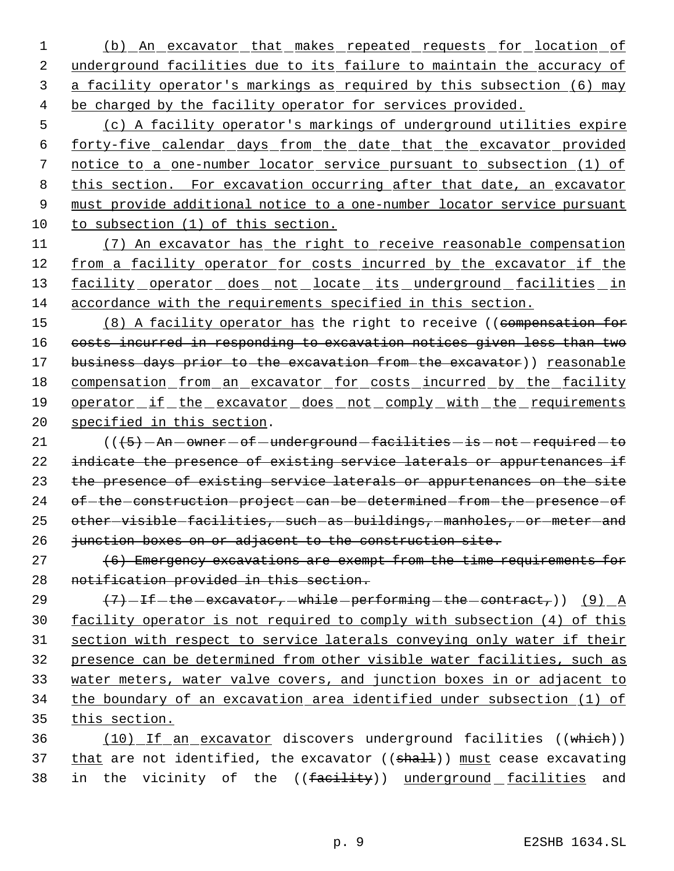1 (b) An excavator that makes repeated requests for location of 2 underground facilities due to its failure to maintain the accuracy of a facility operator's markings as required by this subsection (6) may be charged by the facility operator for services provided.

 (c) A facility operator's markings of underground utilities expire forty-five calendar days from the date that the excavator provided notice to a one-number locator service pursuant to subsection (1) of this section. For excavation occurring after that date, an excavator must provide additional notice to a one-number locator service pursuant to subsection (1) of this section.

 (7) An excavator has the right to receive reasonable compensation from a facility operator for costs incurred by the excavator if the 13 facility operator does not locate its underground facilities in accordance with the requirements specified in this section.

15 (8) A facility operator has the right to receive ((compensation for costs incurred in responding to excavation notices given less than two 17 business days prior to the excavation from the excavator)) reasonable 18 compensation from an excavator for costs incurred by the facility operator if the excavator does not comply with the requirements specified in this section.

 $((6)-An-owner-of-underground-facilities-is-not-required-to)$ 22 indicate the presence of existing service laterals or appurtenances if 23 the presence of existing service laterals or appurtenances on the site 24 of-the construction project can be determined from the presence of 25 other-visible-facilities, such as buildings, manholes, or meter-and 26 junction boxes on or adjacent to the construction site.

27 (6) Emergency excavations are exempt from the time requirements for notification provided in this section.

 $(7)$  -if the excavator, while performing the contract,) (9) A facility operator is not required to comply with subsection (4) of this section with respect to service laterals conveying only water if their presence can be determined from other visible water facilities, such as water meters, water valve covers, and junction boxes in or adjacent to the boundary of an excavation area identified under subsection (1) of this section.

 (10) If an excavator discovers underground facilities ((which)) 37 that are not identified, the excavator  $((shall))$  must cease excavating 38 in the vicinity of the ((facility)) underground facilities and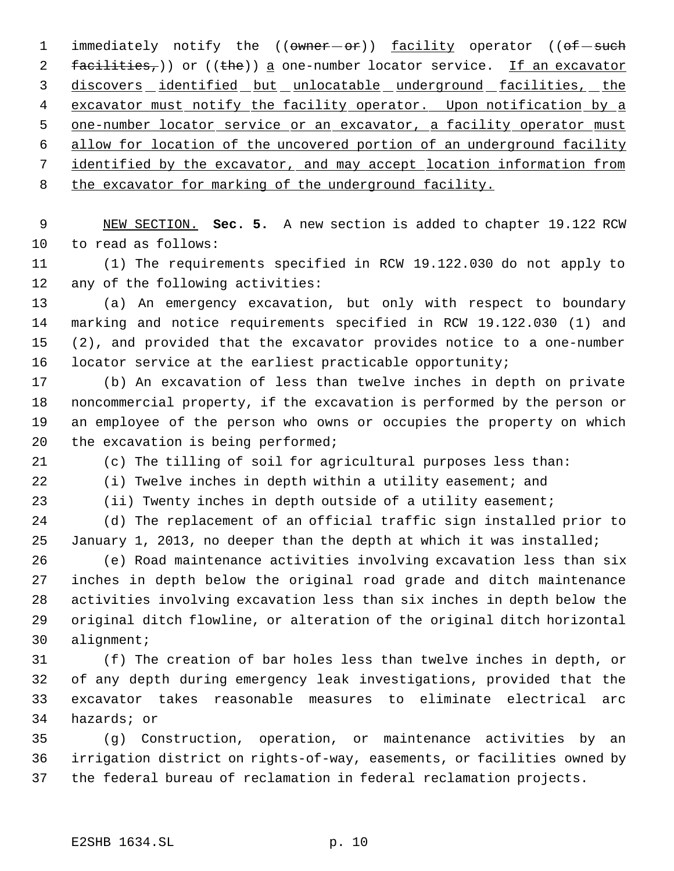1 immediately notify the (( $\overline{\text{owner}} - \overline{\text{or}}$ )) <u>facility</u> operator (( $\overline{\text{of}} - \overline{\text{such}}$ 2 facilities,)) or ((the)) a one-number locator service. If an excavator 3 discovers identified but unlocatable underground facilities, the 4 excavator must notify the facility operator. Upon notification by a 5 one-number locator service or an excavator, a facility operator must allow for location of the uncovered portion of an underground facility identified by the excavator, and may accept location information from 8 the excavator for marking of the underground facility.

 NEW SECTION. **Sec. 5.** A new section is added to chapter 19.122 RCW to read as follows:

 (1) The requirements specified in RCW 19.122.030 do not apply to any of the following activities:

 (a) An emergency excavation, but only with respect to boundary marking and notice requirements specified in RCW 19.122.030 (1) and (2), and provided that the excavator provides notice to a one-number locator service at the earliest practicable opportunity;

 (b) An excavation of less than twelve inches in depth on private noncommercial property, if the excavation is performed by the person or an employee of the person who owns or occupies the property on which 20 the excavation is being performed;

(c) The tilling of soil for agricultural purposes less than:

(i) Twelve inches in depth within a utility easement; and

(ii) Twenty inches in depth outside of a utility easement;

 (d) The replacement of an official traffic sign installed prior to January 1, 2013, no deeper than the depth at which it was installed;

 (e) Road maintenance activities involving excavation less than six inches in depth below the original road grade and ditch maintenance activities involving excavation less than six inches in depth below the original ditch flowline, or alteration of the original ditch horizontal alignment;

 (f) The creation of bar holes less than twelve inches in depth, or of any depth during emergency leak investigations, provided that the excavator takes reasonable measures to eliminate electrical arc hazards; or

 (g) Construction, operation, or maintenance activities by an irrigation district on rights-of-way, easements, or facilities owned by the federal bureau of reclamation in federal reclamation projects.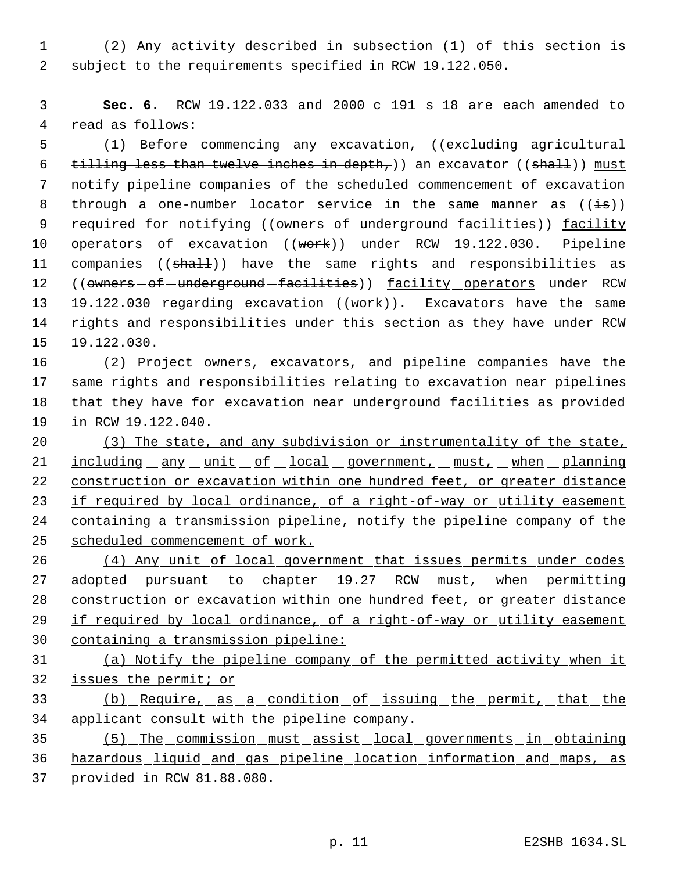(2) Any activity described in subsection (1) of this section is subject to the requirements specified in RCW 19.122.050.

 **Sec. 6.** RCW 19.122.033 and 2000 c 191 s 18 are each amended to read as follows:

5 (1) Before commencing any excavation, ((excluding agricultural 6 tilling less than twelve inches in depth,)) an excavator ((shall)) must notify pipeline companies of the scheduled commencement of excavation 8 through a one-number locator service in the same manner as  $((\frac{1}{18}))$ 9 required for notifying ((owners of underground facilities)) facility 10 operators of excavation ((work)) under RCW 19.122.030. Pipeline 11 companies ((shall)) have the same rights and responsibilities as 12 ((owners-of-underground-facilities)) facility operators under RCW 13 19.122.030 regarding excavation ((work)). Excavators have the same rights and responsibilities under this section as they have under RCW 19.122.030.

 (2) Project owners, excavators, and pipeline companies have the same rights and responsibilities relating to excavation near pipelines that they have for excavation near underground facilities as provided in RCW 19.122.040.

 (3) The state, and any subdivision or instrumentality of the state, 21 including any unit of local government, must, when planning construction or excavation within one hundred feet, or greater distance 23 if required by local ordinance, of a right-of-way or utility easement containing a transmission pipeline, notify the pipeline company of the scheduled commencement of work.

 (4) Any unit of local government that issues permits under codes 27 adopted pursuant to chapter 19.27 RCW must, when permitting construction or excavation within one hundred feet, or greater distance 29 if required by local ordinance, of a right-of-way or utility easement containing a transmission pipeline:

 (a) Notify the pipeline company of the permitted activity when it issues the permit; or

 (b) Require, as a condition of issuing the permit, that the applicant consult with the pipeline company.

 (5) The commission must assist local governments in obtaining hazardous liquid and gas pipeline location information and maps, as provided in RCW 81.88.080.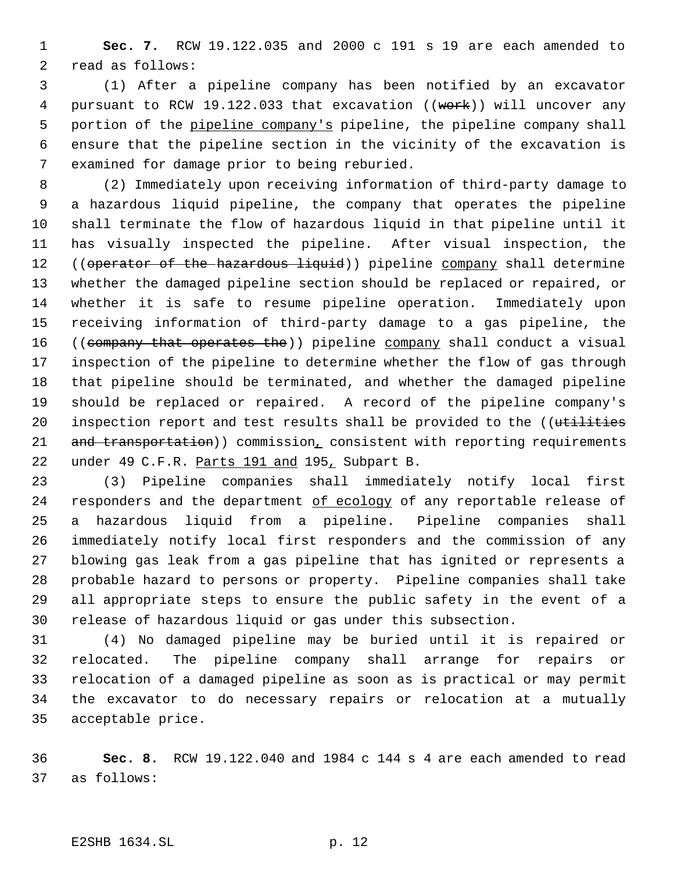**Sec. 7.** RCW 19.122.035 and 2000 c 191 s 19 are each amended to read as follows:

 (1) After a pipeline company has been notified by an excavator 4 pursuant to RCW 19.122.033 that excavation ((work)) will uncover any 5 portion of the pipeline company's pipeline, the pipeline company shall ensure that the pipeline section in the vicinity of the excavation is examined for damage prior to being reburied.

 (2) Immediately upon receiving information of third-party damage to a hazardous liquid pipeline, the company that operates the pipeline shall terminate the flow of hazardous liquid in that pipeline until it has visually inspected the pipeline. After visual inspection, the 12 ((operator of the hazardous liquid)) pipeline company shall determine whether the damaged pipeline section should be replaced or repaired, or whether it is safe to resume pipeline operation. Immediately upon receiving information of third-party damage to a gas pipeline, the 16 ((company that operates the)) pipeline company shall conduct a visual inspection of the pipeline to determine whether the flow of gas through that pipeline should be terminated, and whether the damaged pipeline should be replaced or repaired. A record of the pipeline company's 20 inspection report and test results shall be provided to the ((utilities 21 and transportation)) commission, consistent with reporting requirements 22 under 49 C.F.R. Parts 191 and 195, Subpart B.

 (3) Pipeline companies shall immediately notify local first 24 responders and the department of ecology of any reportable release of a hazardous liquid from a pipeline. Pipeline companies shall immediately notify local first responders and the commission of any blowing gas leak from a gas pipeline that has ignited or represents a probable hazard to persons or property. Pipeline companies shall take all appropriate steps to ensure the public safety in the event of a release of hazardous liquid or gas under this subsection.

 (4) No damaged pipeline may be buried until it is repaired or relocated. The pipeline company shall arrange for repairs or relocation of a damaged pipeline as soon as is practical or may permit the excavator to do necessary repairs or relocation at a mutually acceptable price.

 **Sec. 8.** RCW 19.122.040 and 1984 c 144 s 4 are each amended to read as follows: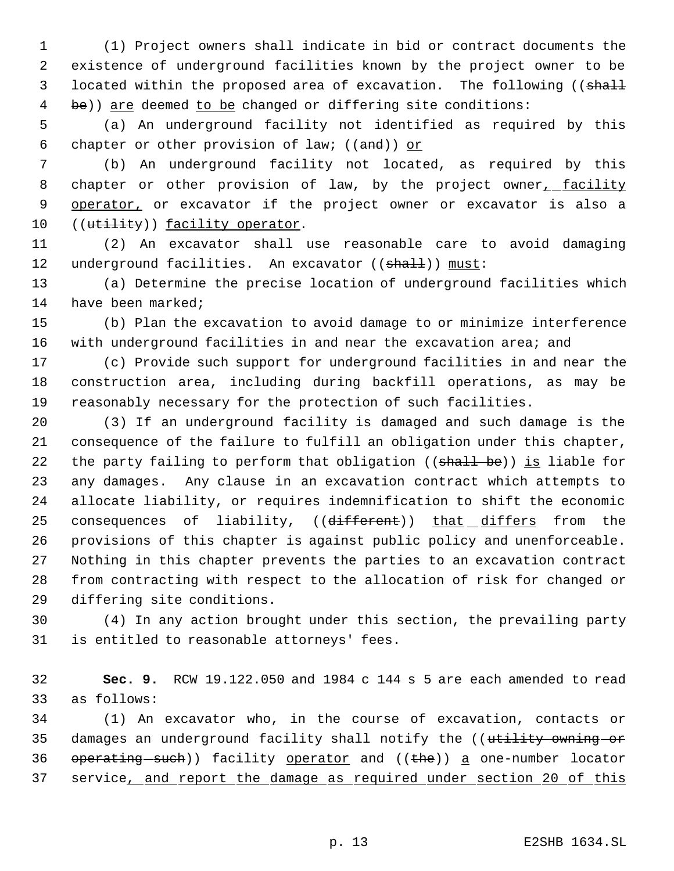(1) Project owners shall indicate in bid or contract documents the existence of underground facilities known by the project owner to be 3 located within the proposed area of excavation. The following ((shall 4 be)) are deemed to be changed or differing site conditions:

 (a) An underground facility not identified as required by this 6 chapter or other provision of law;  $((and))$  or

 (b) An underground facility not located, as required by this 8 chapter or other provision of law, by the project owner, facility 9 operator, or excavator if the project owner or excavator is also a 10 ((utility)) facility operator.

 (2) An excavator shall use reasonable care to avoid damaging 12 underground facilities. An excavator ((shall)) must:

 (a) Determine the precise location of underground facilities which 14 have been marked;

 (b) Plan the excavation to avoid damage to or minimize interference 16 with underground facilities in and near the excavation area; and

 (c) Provide such support for underground facilities in and near the construction area, including during backfill operations, as may be reasonably necessary for the protection of such facilities.

 (3) If an underground facility is damaged and such damage is the consequence of the failure to fulfill an obligation under this chapter, 22 the party failing to perform that obligation (( $shall be$ )) is liable for any damages. Any clause in an excavation contract which attempts to allocate liability, or requires indemnification to shift the economic 25 consequences of liability, ((different)) that differs from the provisions of this chapter is against public policy and unenforceable. Nothing in this chapter prevents the parties to an excavation contract from contracting with respect to the allocation of risk for changed or differing site conditions.

 (4) In any action brought under this section, the prevailing party is entitled to reasonable attorneys' fees.

 **Sec. 9.** RCW 19.122.050 and 1984 c 144 s 5 are each amended to read as follows:

 (1) An excavator who, in the course of excavation, contacts or 35 damages an underground facility shall notify the ((utility owning or 36  $operating-such)$  facility operator and ((the)) a one-number locator 37 service, and report the damage as required under section 20 of this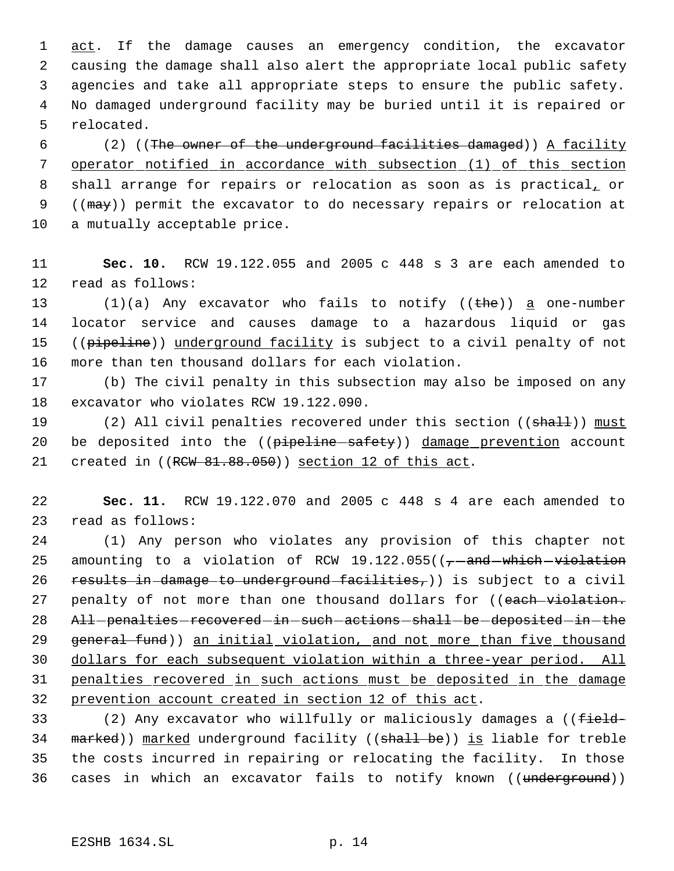1 act. If the damage causes an emergency condition, the excavator causing the damage shall also alert the appropriate local public safety agencies and take all appropriate steps to ensure the public safety. No damaged underground facility may be buried until it is repaired or relocated.

 6 (2) ((The owner of the underground facilities damaged)) A facility 7 operator notified in accordance with subsection (1) of this section 8 shall arrange for repairs or relocation as soon as is practical, or 9 ((may)) permit the excavator to do necessary repairs or relocation at 10 a mutually acceptable price.

11 **Sec. 10.** RCW 19.122.055 and 2005 c 448 s 3 are each amended to 12 read as follows:

 $(1)(a)$  Any excavator who fails to notify  $(the)$  a one-number locator service and causes damage to a hazardous liquid or gas 15 ((pipeline)) underground facility is subject to a civil penalty of not more than ten thousand dollars for each violation.

17 (b) The civil penalty in this subsection may also be imposed on any 18 excavator who violates RCW 19.122.090.

19 (2) All civil penalties recovered under this section ((shall)) must 20 be deposited into the ((pipeline safety)) damage prevention account 21 created in ((RCW 81.88.050)) section 12 of this act.

22 **Sec. 11.** RCW 19.122.070 and 2005 c 448 s 4 are each amended to 23 read as follows:

24 (1) Any person who violates any provision of this chapter not 25 amounting to a violation of RCW  $19.122.055$  (( $\tau$  and which violation 26 results in damage to underground facilities,)) is subject to a civil 27 penalty of not more than one thousand dollars for ((each violation. 28 All-penalties-recovered-in-such-actions-shall-be-deposited-in-the 29 general fund)) an initial violation, and not more than five thousand 30 dollars for each subsequent violation within a three-year period. All 31 penalties recovered in such actions must be deposited in the damage 32 prevention account created in section 12 of this act.

33 (2) Any excavator who willfully or maliciously damages a ((field-34 marked)) marked underground facility ((shall be)) is liable for treble 35 the costs incurred in repairing or relocating the facility. In those 36 cases in which an excavator fails to notify known ((underground))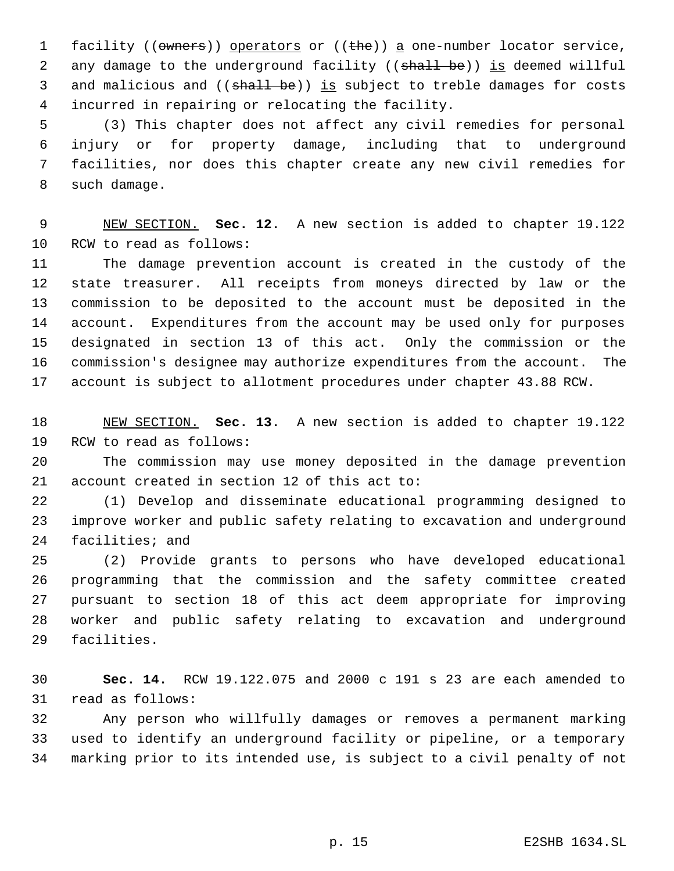1 facility (( $\sigma$ wners)) operators or (( $\theta$ )) a one-number locator service, 2 any damage to the underground facility ((shall be)) is deemed willful 3 and malicious and ((shall be)) is subject to treble damages for costs incurred in repairing or relocating the facility.

 (3) This chapter does not affect any civil remedies for personal injury or for property damage, including that to underground facilities, nor does this chapter create any new civil remedies for such damage.

 NEW SECTION. **Sec. 12.** A new section is added to chapter 19.122 RCW to read as follows:

 The damage prevention account is created in the custody of the state treasurer. All receipts from moneys directed by law or the commission to be deposited to the account must be deposited in the account. Expenditures from the account may be used only for purposes designated in section 13 of this act. Only the commission or the commission's designee may authorize expenditures from the account. The account is subject to allotment procedures under chapter 43.88 RCW.

 NEW SECTION. **Sec. 13.** A new section is added to chapter 19.122 RCW to read as follows:

 The commission may use money deposited in the damage prevention account created in section 12 of this act to:

 (1) Develop and disseminate educational programming designed to improve worker and public safety relating to excavation and underground facilities; and

 (2) Provide grants to persons who have developed educational programming that the commission and the safety committee created pursuant to section 18 of this act deem appropriate for improving worker and public safety relating to excavation and underground facilities.

 **Sec. 14.** RCW 19.122.075 and 2000 c 191 s 23 are each amended to read as follows:

 Any person who willfully damages or removes a permanent marking used to identify an underground facility or pipeline, or a temporary marking prior to its intended use, is subject to a civil penalty of not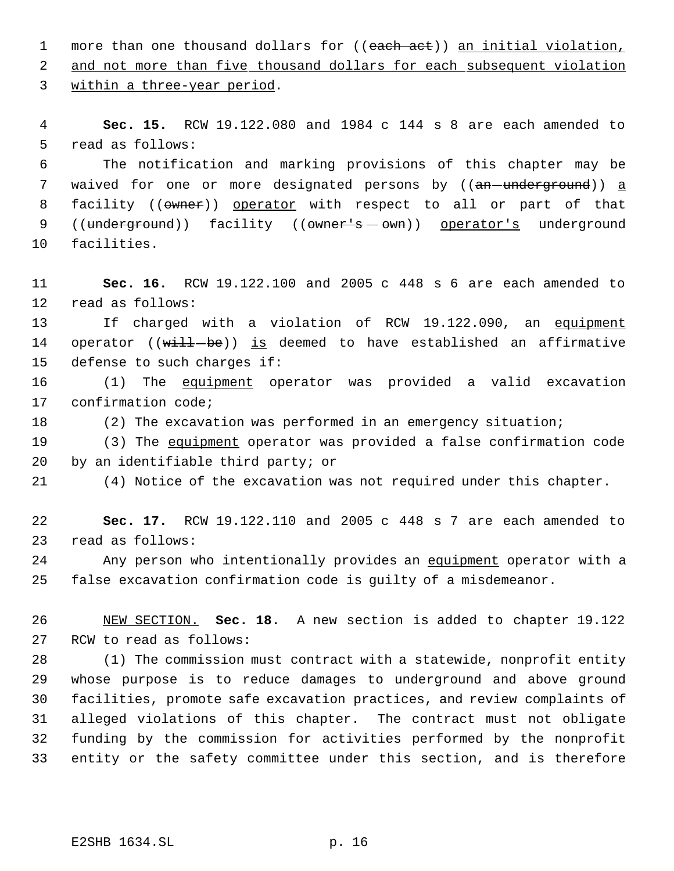1 more than one thousand dollars for ((each act)) an initial violation, 2 and not more than five thousand dollars for each subsequent violation within a three-year period.

 **Sec. 15.** RCW 19.122.080 and 1984 c 144 s 8 are each amended to read as follows:

 The notification and marking provisions of this chapter may be 7 waived for one or more designated persons by ((an-underground)) a 8 facility ((owner)) operator with respect to all or part of that 9 ((underground)) facility ((owner's - own)) operator's underground facilities.

 **Sec. 16.** RCW 19.122.100 and 2005 c 448 s 6 are each amended to read as follows:

13 If charged with a violation of RCW 19.122.090, an equipment 14 operator ((will-be)) is deemed to have established an affirmative defense to such charges if:

 (1) The equipment operator was provided a valid excavation confirmation code;

(2) The excavation was performed in an emergency situation;

 (3) The equipment operator was provided a false confirmation code by an identifiable third party; or

(4) Notice of the excavation was not required under this chapter.

 **Sec. 17.** RCW 19.122.110 and 2005 c 448 s 7 are each amended to read as follows:

24 Any person who intentionally provides an equipment operator with a false excavation confirmation code is guilty of a misdemeanor.

 NEW SECTION. **Sec. 18.** A new section is added to chapter 19.122 RCW to read as follows:

 (1) The commission must contract with a statewide, nonprofit entity whose purpose is to reduce damages to underground and above ground facilities, promote safe excavation practices, and review complaints of alleged violations of this chapter. The contract must not obligate funding by the commission for activities performed by the nonprofit entity or the safety committee under this section, and is therefore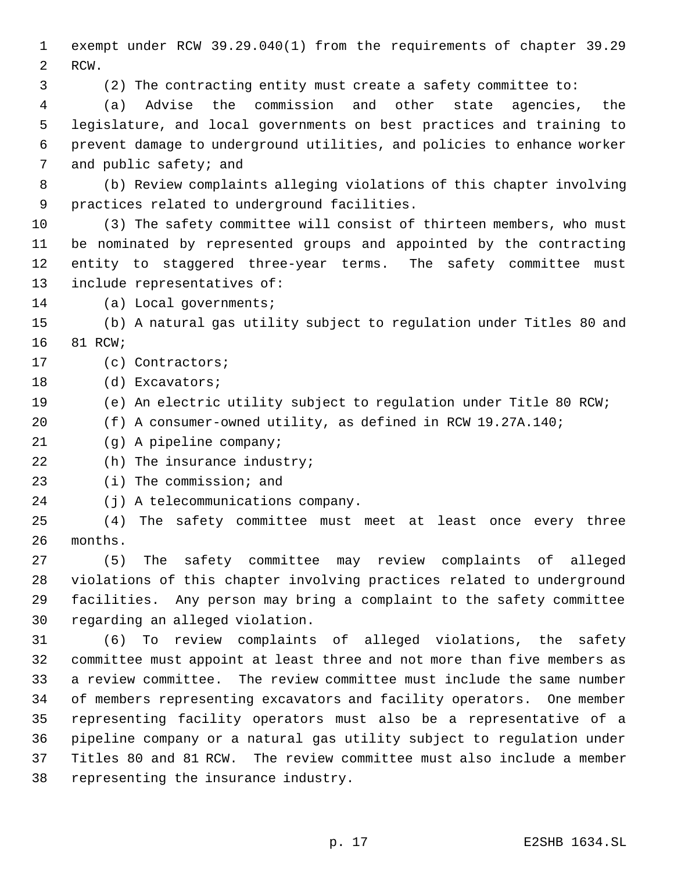exempt under RCW 39.29.040(1) from the requirements of chapter 39.29 RCW.

(2) The contracting entity must create a safety committee to:

 (a) Advise the commission and other state agencies, the legislature, and local governments on best practices and training to prevent damage to underground utilities, and policies to enhance worker and public safety; and

 (b) Review complaints alleging violations of this chapter involving practices related to underground facilities.

 (3) The safety committee will consist of thirteen members, who must be nominated by represented groups and appointed by the contracting entity to staggered three-year terms. The safety committee must include representatives of:

(a) Local governments;

 (b) A natural gas utility subject to regulation under Titles 80 and 81 RCW;

(c) Contractors;

(d) Excavators;

(e) An electric utility subject to regulation under Title 80 RCW;

(f) A consumer-owned utility, as defined in RCW 19.27A.140;

(g) A pipeline company;

22 (h) The insurance industry;

(i) The commission; and

(j) A telecommunications company.

 (4) The safety committee must meet at least once every three months.

 (5) The safety committee may review complaints of alleged violations of this chapter involving practices related to underground facilities. Any person may bring a complaint to the safety committee regarding an alleged violation.

 (6) To review complaints of alleged violations, the safety committee must appoint at least three and not more than five members as a review committee. The review committee must include the same number of members representing excavators and facility operators. One member representing facility operators must also be a representative of a pipeline company or a natural gas utility subject to regulation under Titles 80 and 81 RCW. The review committee must also include a member representing the insurance industry.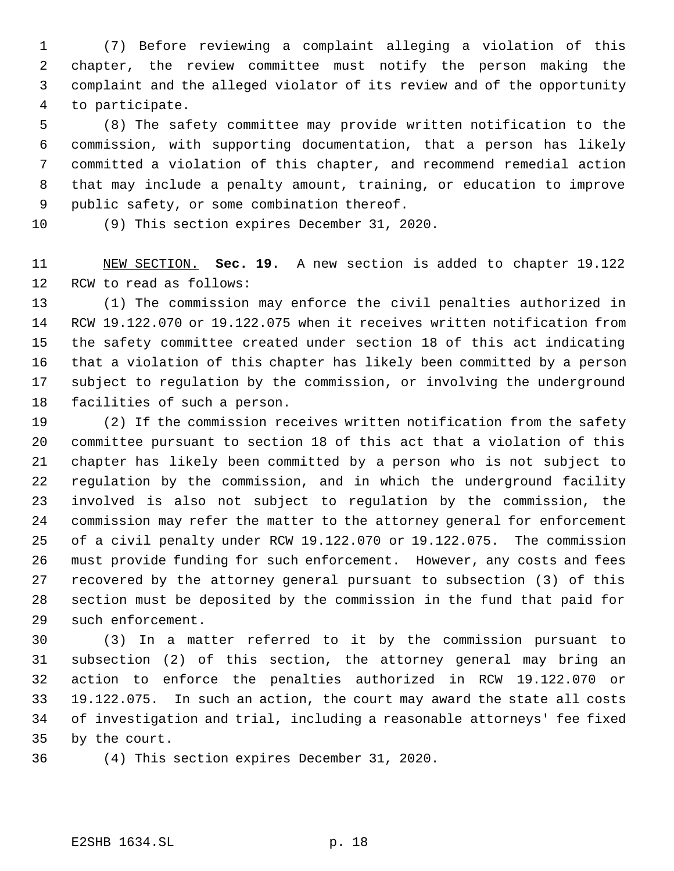(7) Before reviewing a complaint alleging a violation of this chapter, the review committee must notify the person making the complaint and the alleged violator of its review and of the opportunity to participate.

 (8) The safety committee may provide written notification to the commission, with supporting documentation, that a person has likely committed a violation of this chapter, and recommend remedial action that may include a penalty amount, training, or education to improve public safety, or some combination thereof.

(9) This section expires December 31, 2020.

 NEW SECTION. **Sec. 19.** A new section is added to chapter 19.122 RCW to read as follows:

 (1) The commission may enforce the civil penalties authorized in RCW 19.122.070 or 19.122.075 when it receives written notification from the safety committee created under section 18 of this act indicating that a violation of this chapter has likely been committed by a person subject to regulation by the commission, or involving the underground facilities of such a person.

 (2) If the commission receives written notification from the safety committee pursuant to section 18 of this act that a violation of this chapter has likely been committed by a person who is not subject to regulation by the commission, and in which the underground facility involved is also not subject to regulation by the commission, the commission may refer the matter to the attorney general for enforcement of a civil penalty under RCW 19.122.070 or 19.122.075. The commission must provide funding for such enforcement. However, any costs and fees recovered by the attorney general pursuant to subsection (3) of this section must be deposited by the commission in the fund that paid for such enforcement.

 (3) In a matter referred to it by the commission pursuant to subsection (2) of this section, the attorney general may bring an action to enforce the penalties authorized in RCW 19.122.070 or 19.122.075. In such an action, the court may award the state all costs of investigation and trial, including a reasonable attorneys' fee fixed by the court.

(4) This section expires December 31, 2020.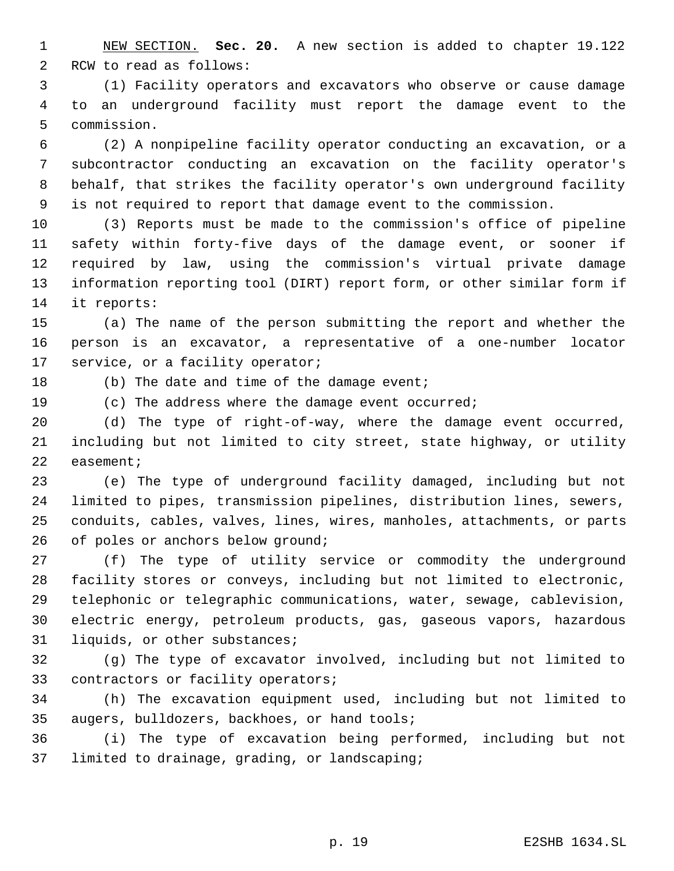NEW SECTION. **Sec. 20.** A new section is added to chapter 19.122 RCW to read as follows:

 (1) Facility operators and excavators who observe or cause damage to an underground facility must report the damage event to the commission.

 (2) A nonpipeline facility operator conducting an excavation, or a subcontractor conducting an excavation on the facility operator's behalf, that strikes the facility operator's own underground facility is not required to report that damage event to the commission.

 (3) Reports must be made to the commission's office of pipeline safety within forty-five days of the damage event, or sooner if required by law, using the commission's virtual private damage information reporting tool (DIRT) report form, or other similar form if it reports:

 (a) The name of the person submitting the report and whether the person is an excavator, a representative of a one-number locator 17 service, or a facility operator;

18 (b) The date and time of the damage event;

(c) The address where the damage event occurred;

 (d) The type of right-of-way, where the damage event occurred, including but not limited to city street, state highway, or utility easement;

 (e) The type of underground facility damaged, including but not limited to pipes, transmission pipelines, distribution lines, sewers, conduits, cables, valves, lines, wires, manholes, attachments, or parts 26 of poles or anchors below ground;

 (f) The type of utility service or commodity the underground facility stores or conveys, including but not limited to electronic, telephonic or telegraphic communications, water, sewage, cablevision, electric energy, petroleum products, gas, gaseous vapors, hazardous liquids, or other substances;

 (g) The type of excavator involved, including but not limited to contractors or facility operators;

 (h) The excavation equipment used, including but not limited to augers, bulldozers, backhoes, or hand tools;

 (i) The type of excavation being performed, including but not limited to drainage, grading, or landscaping;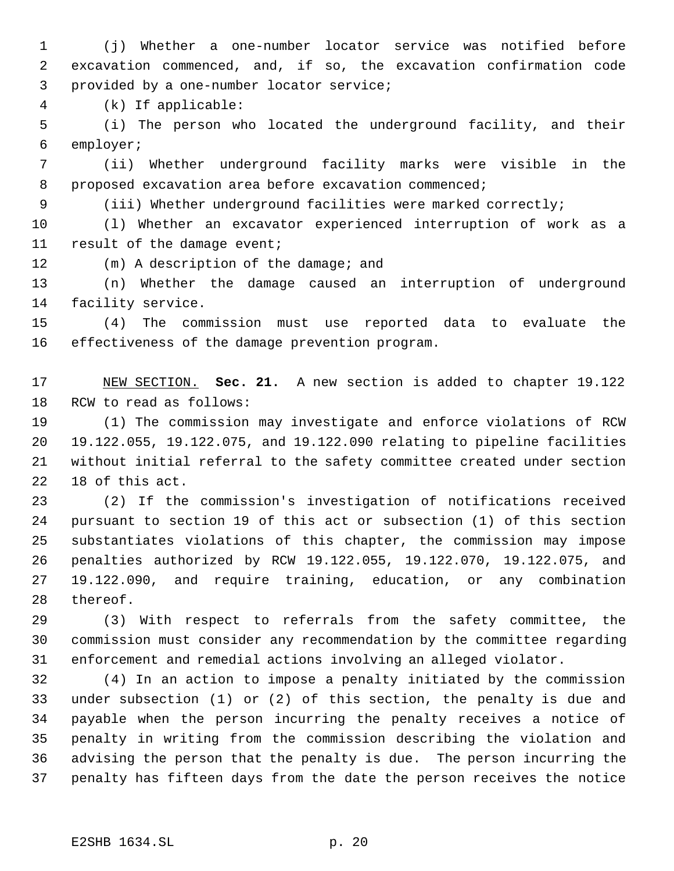(j) Whether a one-number locator service was notified before excavation commenced, and, if so, the excavation confirmation code provided by a one-number locator service;

(k) If applicable:

 (i) The person who located the underground facility, and their employer;

 (ii) Whether underground facility marks were visible in the proposed excavation area before excavation commenced;

(iii) Whether underground facilities were marked correctly;

 (l) Whether an excavator experienced interruption of work as a result of the damage event;

(m) A description of the damage; and

 (n) Whether the damage caused an interruption of underground facility service.

 (4) The commission must use reported data to evaluate the effectiveness of the damage prevention program.

 NEW SECTION. **Sec. 21.** A new section is added to chapter 19.122 RCW to read as follows:

 (1) The commission may investigate and enforce violations of RCW 19.122.055, 19.122.075, and 19.122.090 relating to pipeline facilities without initial referral to the safety committee created under section 18 of this act.

 (2) If the commission's investigation of notifications received pursuant to section 19 of this act or subsection (1) of this section substantiates violations of this chapter, the commission may impose penalties authorized by RCW 19.122.055, 19.122.070, 19.122.075, and 19.122.090, and require training, education, or any combination thereof.

 (3) With respect to referrals from the safety committee, the commission must consider any recommendation by the committee regarding enforcement and remedial actions involving an alleged violator.

 (4) In an action to impose a penalty initiated by the commission under subsection (1) or (2) of this section, the penalty is due and payable when the person incurring the penalty receives a notice of penalty in writing from the commission describing the violation and advising the person that the penalty is due. The person incurring the penalty has fifteen days from the date the person receives the notice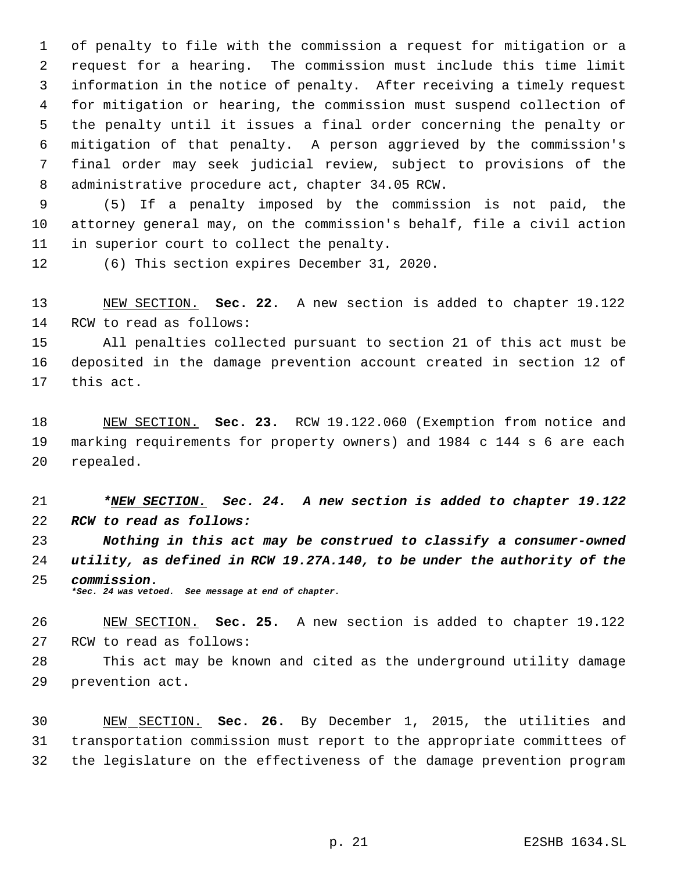of penalty to file with the commission a request for mitigation or a request for a hearing. The commission must include this time limit information in the notice of penalty. After receiving a timely request for mitigation or hearing, the commission must suspend collection of the penalty until it issues a final order concerning the penalty or mitigation of that penalty. A person aggrieved by the commission's final order may seek judicial review, subject to provisions of the administrative procedure act, chapter 34.05 RCW.

 (5) If a penalty imposed by the commission is not paid, the attorney general may, on the commission's behalf, file a civil action in superior court to collect the penalty.

(6) This section expires December 31, 2020.

 NEW SECTION. **Sec. 22.** A new section is added to chapter 19.122 RCW to read as follows:

 All penalties collected pursuant to section 21 of this act must be deposited in the damage prevention account created in section 12 of this act.

 NEW SECTION. **Sec. 23.** RCW 19.122.060 (Exemption from notice and marking requirements for property owners) and 1984 c 144 s 6 are each repealed.

 *\*NEW SECTION. Sec. 24. A new section is added to chapter 19.122 RCW to read as follows:*

 *Nothing in this act may be construed to classify a consumer-owned utility, as defined in RCW 19.27A.140, to be under the authority of the commission. \*Sec. 24 was vetoed. See message at end of chapter.*

 NEW SECTION. **Sec. 25.** A new section is added to chapter 19.122 RCW to read as follows:

 This act may be known and cited as the underground utility damage prevention act.

 NEW SECTION. **Sec. 26.** By December 1, 2015, the utilities and transportation commission must report to the appropriate committees of the legislature on the effectiveness of the damage prevention program